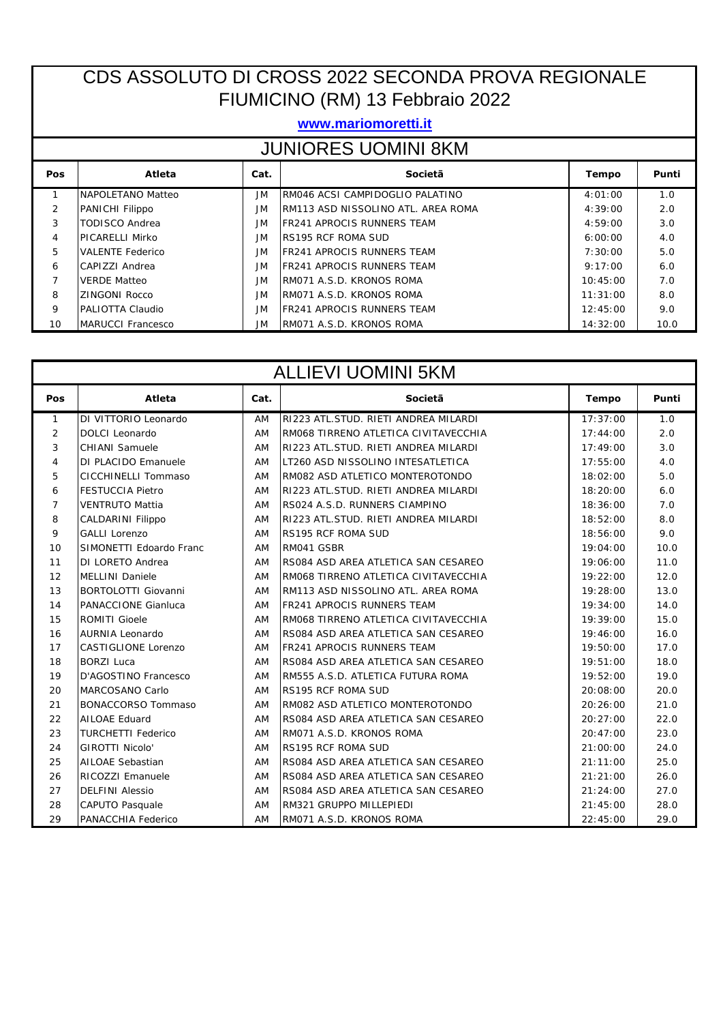## CDS ASSOLUTO DI CROSS 2022 SECONDA PROVA REGIONALE FIUMICINO (RM) 13 Febbraio 2022

## **www.mariomoretti.it**

| <b>JUNIORES UOMINI 8KM</b> |                          |           |                                    |              |       |  |
|----------------------------|--------------------------|-----------|------------------------------------|--------------|-------|--|
| Pos                        | Atleta                   | Cat.      | Societã                            | <b>Tempo</b> | Punti |  |
|                            | NAPOLETANO Matteo        | JM        | RM046 ACSI CAMPIDOGLIO PALATINO    | 4:01:00      | 1.0   |  |
| $\overline{2}$             | PANICHI Filippo          | JM.       | RM113 ASD NISSOLINO ATL. AREA ROMA | 4:39:00      | 2.0   |  |
| 3                          | <b>TODISCO Andrea</b>    | JM.       | <b>FR241 APROCIS RUNNERS TEAM</b>  | 4:59:00      | 3.0   |  |
| 4                          | <b>PICARELLI Mirko</b>   | JM.       | <b>RS195 RCF ROMA SUD</b>          | 6:00:00      | 4.0   |  |
| 5                          | <b>VALENTE Federico</b>  | JM.       | <b>FR241 APROCIS RUNNERS TEAM</b>  | 7:30:00      | 5.0   |  |
| 6                          | CAPIZZI Andrea           | JM.       | <b>FR241 APROCIS RUNNERS TEAM</b>  | 9:17:00      | 6.0   |  |
| $\overline{7}$             | <b>VERDE Matteo</b>      | <b>JM</b> | RM071 A.S.D. KRONOS ROMA           | 10:45:00     | 7.0   |  |
| 8                          | <b>ZINGONI Rocco</b>     | <b>JM</b> | RM071 A.S.D. KRONOS ROMA           | 11:31:00     | 8.0   |  |
| 9                          | PALIOTTA Claudio         | <b>JM</b> | <b>FR241 APROCIS RUNNERS TEAM</b>  | 12:45:00     | 9.0   |  |
| 10                         | <b>MARUCCI Francesco</b> | JM.       | RM071 A.S.D. KRONOS ROMA           | 14:32:00     | 10.0  |  |

| <b>ALLIEVI UOMINI 5KM</b> |                            |      |                                      |              |       |  |
|---------------------------|----------------------------|------|--------------------------------------|--------------|-------|--|
| Pos                       | <b>Atleta</b>              | Cat. | Societã                              | <b>Tempo</b> | Punti |  |
| $\mathbf{1}$              | DI VITTORIO Leonardo       | AM   | RI223 ATL.STUD. RIETI ANDREA MILARDI | 17:37:00     | 1.0   |  |
| 2                         | <b>DOLCI</b> Leonardo      | AM   | RM068 TIRRENO ATLETICA CIVITAVECCHIA | 17:44:00     | 2.0   |  |
| 3                         | <b>CHIANI</b> Samuele      | AM   | RI223 ATL.STUD. RIETI ANDREA MILARDI | 17:49:00     | 3.0   |  |
| 4                         | <b>DI PLACIDO Emanuele</b> | AM   | LT260 ASD NISSOLINO INTESATLETICA    | 17:55:00     | 4.0   |  |
| 5                         | CICCHINELLI Tommaso        | AM   | RM082 ASD ATLETICO MONTEROTONDO      | 18:02:00     | 5.0   |  |
| 6                         | <b>FESTUCCIA Pietro</b>    | AM   | RI223 ATL.STUD. RIETI ANDREA MILARDI | 18:20:00     | 6.0   |  |
| $\overline{7}$            | <b>VENTRUTO Mattia</b>     | AM   | RS024 A.S.D. RUNNERS CIAMPINO        | 18:36:00     | 7.0   |  |
| 8                         | <b>CALDARINI Filippo</b>   | AM   | RI223 ATL.STUD. RIETI ANDREA MILARDI | 18:52:00     | 8.0   |  |
| 9                         | <b>GALLI Lorenzo</b>       | AM   | <b>RS195 RCF ROMA SUD</b>            | 18:56:00     | 9.0   |  |
| 10                        | SIMONETTI Edoardo Franc    | AM   | RM041 GSBR                           | 19:04:00     | 10.0  |  |
| 11                        | DI LORETO Andrea           | AM   | RS084 ASD AREA ATLETICA SAN CESAREO  | 19:06:00     | 11.0  |  |
| 12                        | <b>MELLINI Daniele</b>     | AM   | RM068 TIRRENO ATLETICA CIVITAVECCHIA | 19:22:00     | 12.0  |  |
| 13                        | <b>BORTOLOTTI Giovanni</b> | AM   | RM113 ASD NISSOLINO ATL. AREA ROMA   | 19:28:00     | 13.0  |  |
| 14                        | <b>PANACCIONE Gianluca</b> | AM   | <b>FR241 APROCIS RUNNERS TEAM</b>    | 19:34:00     | 14.0  |  |
| 15                        | <b>ROMITI Gioele</b>       | AM   | RM068 TIRRENO ATLETICA CIVITAVECCHIA | 19:39:00     | 15.0  |  |
| 16                        | <b>AURNIA Leonardo</b>     | AM   | RS084 ASD AREA ATLETICA SAN CESAREO  | 19:46:00     | 16.0  |  |
| 17                        | <b>CASTIGLIONE Lorenzo</b> | AM   | <b>FR241 APROCIS RUNNERS TEAM</b>    | 19:50:00     | 17.0  |  |
| 18                        | <b>BORZI Luca</b>          | AM   | RS084 ASD AREA ATLETICA SAN CESAREO  | 19:51:00     | 18.0  |  |
| 19                        | D'AGOSTINO Francesco       | AM   | RM555 A.S.D. ATLETICA FUTURA ROMA    | 19:52:00     | 19.0  |  |
| 20                        | MARCOSANO Carlo            | AM   | <b>RS195 RCF ROMA SUD</b>            | 20:08:00     | 20.0  |  |
| 21                        | <b>BONACCORSO Tommaso</b>  | AM   | RM082 ASD ATLETICO MONTEROTONDO      | 20:26:00     | 21.0  |  |
| 22                        | <b>AILOAE Eduard</b>       | AM   | RS084 ASD AREA ATLETICA SAN CESAREO  | 20:27:00     | 22.0  |  |
| 23                        | <b>TURCHETTI Federico</b>  | AM   | RM071 A.S.D. KRONOS ROMA             | 20:47:00     | 23.0  |  |
| 24                        | <b>GIROTTI Nicolo'</b>     | AM   | <b>RS195 RCF ROMA SUD</b>            | 21:00:00     | 24.0  |  |
| 25                        | <b>AILOAE Sebastian</b>    | AM   | RS084 ASD AREA ATLETICA SAN CESAREO  | 21:11:00     | 25.0  |  |
| 26                        | <b>RICOZZI Emanuele</b>    | AM   | RS084 ASD AREA ATLETICA SAN CESAREO  | 21:21:00     | 26.0  |  |
| 27                        | <b>DELFINI Alessio</b>     | AM   | RS084 ASD AREA ATLETICA SAN CESAREO  | 21:24:00     | 27.0  |  |
| 28                        | <b>CAPUTO Pasquale</b>     | AM   | RM321 GRUPPO MILLEPIEDI              | 21:45:00     | 28.0  |  |
| 29                        | PANACCHIA Federico         | AM   | RM071 A.S.D. KRONOS ROMA             | 22:45:00     | 29.0  |  |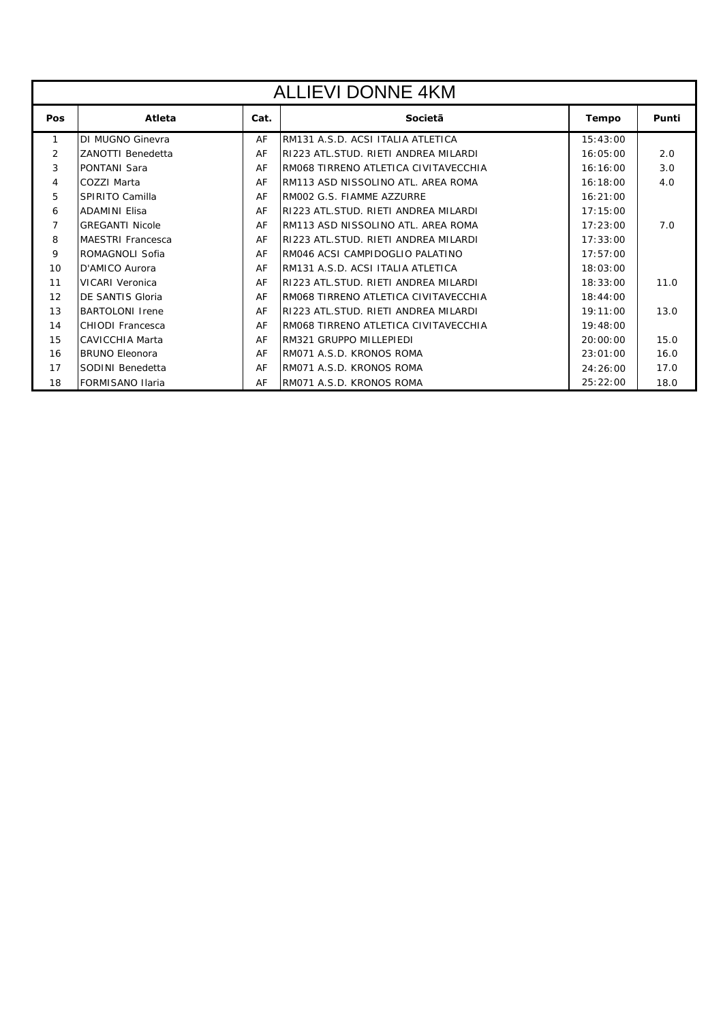| <b>ALLIEVI DONNE 4KM</b> |                          |      |                                      |              |       |  |
|--------------------------|--------------------------|------|--------------------------------------|--------------|-------|--|
| Pos                      | Atleta                   | Cat. | Societã                              | <b>Tempo</b> | Punti |  |
| $\mathbf{1}$             | DI MUGNO Ginevra         | AF   | RM131 A.S.D. ACSI ITALIA ATLETICA    | 15:43:00     |       |  |
| 2                        | ZANOTTI Benedetta        | AF   | RI223 ATL.STUD. RIETI ANDREA MILARDI | 16:05:00     | 2.0   |  |
| 3                        | <b>PONTANI Sara</b>      | AF   | RM068 TIRRENO ATLETICA CIVITAVECCHIA | 16:16:00     | 3.0   |  |
| 4                        | COZZI Marta              | AF   | RM113 ASD NISSOLINO ATL. AREA ROMA   | 16:18:00     | 4.0   |  |
| 5                        | SPIRITO Camilla          | AF   | RM002 G.S. FIAMME AZZURRE            | 16:21:00     |       |  |
| 6                        | <b>ADAMINI Elisa</b>     | AF   | RI223 ATL.STUD. RIETI ANDREA MILARDI | 17:15:00     |       |  |
| 7                        | <b>GREGANTI Nicole</b>   | AF   | RM113 ASD NISSOLINO ATL. AREA ROMA   | 17:23:00     | 7.0   |  |
| 8                        | <b>MAESTRI Francesca</b> | AF   | RI223 ATL.STUD. RIETI ANDREA MILARDI | 17:33:00     |       |  |
| 9                        | ROMAGNOLI Sofia          | AF   | RM046 ACSI CAMPIDOGLIO PALATINO      | 17:57:00     |       |  |
| 10                       | D'AMICO Aurora           | AF   | RM131 A.S.D. ACSI ITALIA ATLETICA    | 18:03:00     |       |  |
| 11                       | <b>VICARI Veronica</b>   | AF   | RI223 ATL.STUD. RIETI ANDREA MILARDI | 18:33:00     | 11.0  |  |
| 12                       | DE SANTIS Gloria         | AF   | RM068 TIRRENO ATLETICA CIVITAVECCHIA | 18:44:00     |       |  |
| 13                       | <b>BARTOLONI</b> Irene   | AF   | RI223 ATL.STUD. RIETI ANDREA MILARDI | 19:11:00     | 13.0  |  |
| 14                       | CHIODI Francesca         | AF   | RM068 TIRRENO ATLETICA CIVITAVECCHIA | 19:48:00     |       |  |
| 15                       | <b>CAVICCHIA Marta</b>   | AF   | RM321 GRUPPO MILLEPIEDI              | 20:00:00     | 15.0  |  |
| 16                       | <b>BRUNO Eleonora</b>    | AF   | RM071 A.S.D. KRONOS ROMA             | 23:01:00     | 16.0  |  |
| 17                       | SODINI Benedetta         | AF   | RM071 A.S.D. KRONOS ROMA             | 24:26:00     | 17.0  |  |
| 18                       | <b>FORMISANO Ilaria</b>  | AF   | RM071 A.S.D. KRONOS ROMA             | 25:22:00     | 18.0  |  |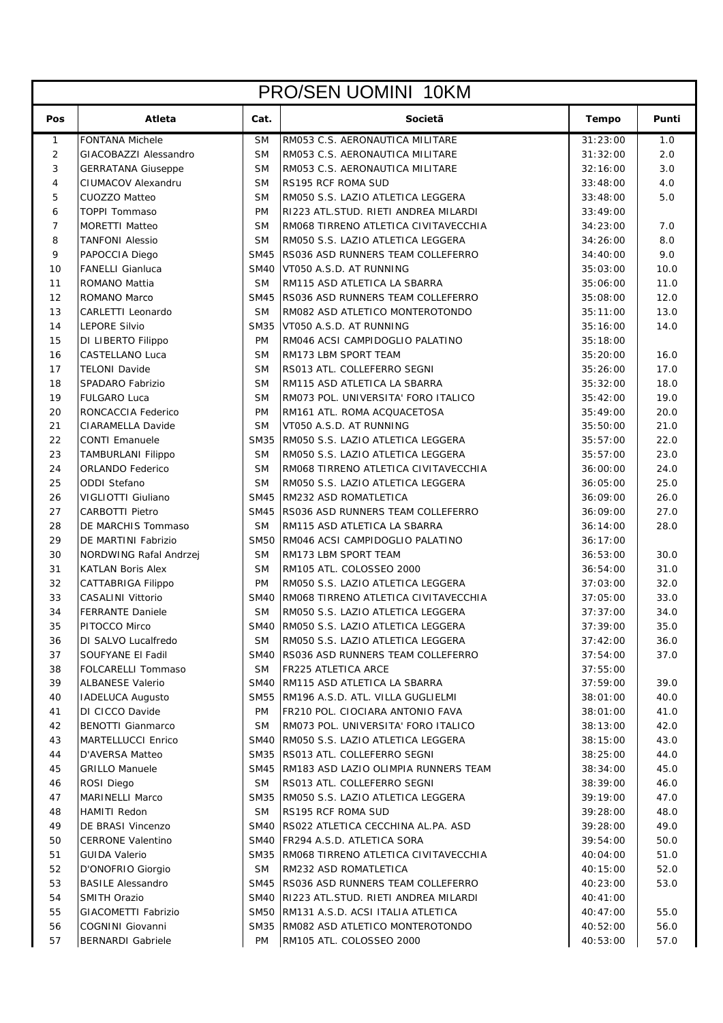| Atleta<br>Pos<br>Cat.<br>Societã<br><b>Tempo</b><br>Punti<br><b>FONTANA Michele</b><br>RM053 C.S. AERONAUTICA MILITARE<br>1.0<br><b>SM</b><br>31:23:00<br>$\mathbf{1}$<br>2.0<br>2<br>GIACOBAZZI Alessandro<br><b>SM</b><br>RM053 C.S. AERONAUTICA MILITARE<br>31:32:00<br>3<br><b>SM</b><br>RM053 C.S. AERONAUTICA MILITARE<br>32:16:00<br>3.0<br><b>GERRATANA Giuseppe</b><br>$\overline{4}$<br>CIUMACOV Alexandru<br><b>SM</b><br><b>RS195 RCF ROMA SUD</b><br>33:48:00<br>4.0<br>5<br><b>CUOZZO Matteo</b><br><b>SM</b><br>RM050 S.S. LAZIO ATLETICA LEGGERA<br>5.0<br>33:48:00<br><b>TOPPI Tommaso</b><br>RI223 ATL.STUD. RIETI ANDREA MILARDI<br>6<br><b>PM</b><br>33:49:00<br>$\overline{7}$<br><b>SM</b><br>7.0<br><b>MORETTI Matteo</b><br>RM068 TIRRENO ATLETICA CIVITAVECCHIA<br>34:23:00<br>8<br><b>TANFONI Alessio</b><br><b>SM</b><br>RM050 S.S. LAZIO ATLETICA LEGGERA<br>8.0<br>34:26:00<br>9<br>9.0<br>PAPOCCIA Diego<br><b>SM45</b><br>RS036 ASD RUNNERS TEAM COLLEFERRO<br>34:40:00<br>10<br>SM40 VT050 A.S.D. AT RUNNING<br>10.0<br><b>FANELLI Gianluca</b><br>35:03:00<br>11.0<br>11<br>ROMANO Mattia<br><b>SM</b><br>RM115 ASD ATLETICA LA SBARRA<br>35:06:00<br>12<br>SM45 RS036 ASD RUNNERS TEAM COLLEFERRO<br>12.0<br>ROMANO Marco<br>35:08:00<br>13<br>CARLETTI Leonardo<br><b>SM</b><br>RM082 ASD ATLETICO MONTEROTONDO<br>35:11:00<br>13.0<br>14<br><b>LEPORE Silvio</b><br><b>SM35</b><br>VT050 A.S.D. AT RUNNING<br>35:16:00<br>14.0<br>15<br>DI LIBERTO Filippo<br><b>PM</b><br>RM046 ACSI CAMPIDOGLIO PALATINO<br>35:18:00<br><b>CASTELLANO Luca</b><br><b>SM</b><br>16.0<br>16<br>RM173 LBM SPORT TEAM<br>35:20:00<br>17<br><b>TELONI Davide</b><br><b>SM</b><br>35:26:00<br>17.0<br>RS013 ATL. COLLEFERRO SEGNI<br>SPADARO Fabrizio<br><b>SM</b><br>18.0<br>18<br>RM115 ASD ATLETICA LA SBARRA<br>35:32:00<br>19<br><b>FULGARO Luca</b><br><b>SM</b><br>19.0<br>RM073 POL. UNIVERSITA' FORO ITALICO<br>35:42:00<br>RONCACCIA Federico<br><b>PM</b><br>20.0<br>20<br>RM161 ATL. ROMA ACQUACETOSA<br>35:49:00<br>21<br>CIARAMELLA Davide<br><b>SM</b><br>VT050 A.S.D. AT RUNNING<br>21.0<br>35:50:00<br>22<br><b>CONTI Emanuele</b><br><b>SM35</b><br>RM050 S.S. LAZIO ATLETICA LEGGERA<br>35:57:00<br>22.0<br>23<br><b>SM</b><br>RM050 S.S. LAZIO ATLETICA LEGGERA<br>35:57:00<br>23.0<br><b>TAMBURLANI Filippo</b><br>24<br><b>ORLANDO Federico</b><br><b>SM</b><br>RM068 TIRRENO ATLETICA CIVITAVECCHIA<br>24.0<br>36:00:00<br>25.0<br><b>ODDI Stefano</b><br><b>SM</b><br>RM050 S.S. LAZIO ATLETICA LEGGERA<br>25<br>36:05:00<br>VIGLIOTTI Giuliano<br><b>SM45</b><br>RM232 ASD ROMATLETICA<br>26.0<br>26<br>36:09:00<br>27.0<br>27<br><b>CARBOTTI Pietro</b><br>SM45 RS036 ASD RUNNERS TEAM COLLEFERRO<br>36:09:00<br>28<br>DE MARCHIS Tommaso<br><b>SM</b><br>RM115 ASD ATLETICA LA SBARRA<br>28.0<br>36:14:00<br>29<br>DE MARTINI Fabrizio<br><b>SM50</b><br>RM046 ACSI CAMPIDOGLIO PALATINO<br>36:17:00<br>30<br>NORDWING Rafal Andrzej<br><b>SM</b><br>RM173 LBM SPORT TEAM<br>36:53:00<br>30.0<br>31<br>31.0<br><b>KATLAN Boris Alex</b><br><b>SM</b><br>RM105 ATL. COLOSSEO 2000<br>36:54:00<br>32<br>32.0<br><b>CATTABRIGA Filippo</b><br><b>PM</b><br>RM050 S.S. LAZIO ATLETICA LEGGERA<br>37:03:00<br>33<br><b>SM40</b><br>37:05:00<br>33.0<br><b>CASALINI Vittorio</b><br>RM068 TIRRENO ATLETICA CIVITAVECCHIA<br>34<br><b>FERRANTE Daniele</b><br><b>SM</b><br>RM050 S.S. LAZIO ATLETICA LEGGERA<br>37:37:00<br>34.0<br>35<br>SM40 RM050 S.S. LAZIO ATLETICA LEGGERA<br>35.0<br>37:39:00<br>PITOCCO Mirco<br>36<br>DI SALVO Lucalfredo<br>RM050 S.S. LAZIO ATLETICA LEGGERA<br>36.0<br><b>SM</b><br>37:42:00<br>37<br>SOUFYANE EI Fadil<br>SM40 RS036 ASD RUNNERS TEAM COLLEFERRO<br>37:54:00<br>37.0<br>38<br>FOLCARELLI Tommaso<br><b>SM</b><br><b>FR225 ATLETICA ARCE</b><br>37:55:00<br>39<br><b>ALBANESE Valerio</b><br>SM40 RM115 ASD ATLETICA LA SBARRA<br>37:59:00<br>39.0<br>SM55 RM196 A.S.D. ATL. VILLA GUGLIELMI<br>40<br><b>IADELUCA Augusto</b><br>38:01:00<br>40.0<br>41<br>DI CICCO Davide<br>PM<br>FR210 POL. CIOCIARA ANTONIO FAVA<br>38:01:00<br>41.0<br>RM073 POL. UNIVERSITA' FORO ITALICO<br>42<br><b>BENOTTI Gianmarco</b><br><b>SM</b><br>38:13:00<br>42.0<br>43<br>MARTELLUCCI Enrico<br>SM40 RM050 S.S. LAZIO ATLETICA LEGGERA<br>38:15:00<br>43.0<br>44<br><b>D'AVERSA Matteo</b><br>SM35 RS013 ATL. COLLEFERRO SEGNI<br>38:25:00<br>44.0<br>45<br><b>GRILLO Manuele</b><br>SM45 RM183 ASD LAZIO OLIMPIA RUNNERS TEAM<br>38:34:00<br>45.0<br>ROSI Diego<br>RS013 ATL. COLLEFERRO SEGNI<br>38:39:00<br>46.0<br>46<br><b>SM</b><br>MARINELLI Marco<br>47<br>SM35 RM050 S.S. LAZIO ATLETICA LEGGERA<br>39:19:00<br>47.0<br>48<br><b>HAMITI Redon</b><br><b>SM</b><br><b>RS195 RCF ROMA SUD</b><br>39:28:00<br>48.0<br>49<br>DE BRASI Vincenzo<br>SM40 RS022 ATLETICA CECCHINA AL.PA. ASD<br>39:28:00<br>49.0<br>50<br><b>CERRONE Valentino</b><br>SM40 FR294 A.S.D. ATLETICA SORA<br>39:54:00<br>50.0<br>51<br><b>GUIDA Valerio</b><br>SM35 RM068 TIRRENO ATLETICA CIVITAVECCHIA<br>40:04:00<br>51.0<br>52<br>D'ONOFRIO Giorgio<br><b>SM</b><br><b>RM232 ASD ROMATLETICA</b><br>40:15:00<br>52.0<br>53<br>SM45 RS036 ASD RUNNERS TEAM COLLEFERRO<br><b>BASILE Alessandro</b><br>53.0<br>40:23:00<br>54<br><b>SMITH Orazio</b><br>SM40 RI223 ATL.STUD. RIETI ANDREA MILARDI<br>40:41:00<br><b>GIACOMETTI Fabrizio</b><br>SM50 RM131 A.S.D. ACSI ITALIA ATLETICA<br>55<br>40:47:00<br>55.0<br>56<br>COGNINI Giovanni<br>SM35 RM082 ASD ATLETICO MONTEROTONDO<br>40:52:00<br>56.0<br><b>BERNARDI Gabriele</b><br>RM105 ATL. COLOSSEO 2000<br>57<br>PM<br>40:53:00<br>57.0 | <b>PRO/SEN UOMINI 10KM</b> |  |  |  |  |  |  |
|------------------------------------------------------------------------------------------------------------------------------------------------------------------------------------------------------------------------------------------------------------------------------------------------------------------------------------------------------------------------------------------------------------------------------------------------------------------------------------------------------------------------------------------------------------------------------------------------------------------------------------------------------------------------------------------------------------------------------------------------------------------------------------------------------------------------------------------------------------------------------------------------------------------------------------------------------------------------------------------------------------------------------------------------------------------------------------------------------------------------------------------------------------------------------------------------------------------------------------------------------------------------------------------------------------------------------------------------------------------------------------------------------------------------------------------------------------------------------------------------------------------------------------------------------------------------------------------------------------------------------------------------------------------------------------------------------------------------------------------------------------------------------------------------------------------------------------------------------------------------------------------------------------------------------------------------------------------------------------------------------------------------------------------------------------------------------------------------------------------------------------------------------------------------------------------------------------------------------------------------------------------------------------------------------------------------------------------------------------------------------------------------------------------------------------------------------------------------------------------------------------------------------------------------------------------------------------------------------------------------------------------------------------------------------------------------------------------------------------------------------------------------------------------------------------------------------------------------------------------------------------------------------------------------------------------------------------------------------------------------------------------------------------------------------------------------------------------------------------------------------------------------------------------------------------------------------------------------------------------------------------------------------------------------------------------------------------------------------------------------------------------------------------------------------------------------------------------------------------------------------------------------------------------------------------------------------------------------------------------------------------------------------------------------------------------------------------------------------------------------------------------------------------------------------------------------------------------------------------------------------------------------------------------------------------------------------------------------------------------------------------------------------------------------------------------------------------------------------------------------------------------------------------------------------------------------------------------------------------------------------------------------------------------------------------------------------------------------------------------------------------------------------------------------------------------------------------------------------------------------------------------------------------------------------------------------------------------------------------------------------------------------------------------------------------------------------------------------------------------------------------------------------------------------------------------------------------------------------------------------------------------------------------------------------------------------------------------------------------------------------------------------------------------------------------------------------------------------------------------------------------------------------------------------------------------------------------------------------------------------------------------------------------------------------------------------------------------------------------------------------------------------------------------------------------------------------------------------------------------------------------------------------------------------------------------------------------------------------------------------------------------------|----------------------------|--|--|--|--|--|--|
|                                                                                                                                                                                                                                                                                                                                                                                                                                                                                                                                                                                                                                                                                                                                                                                                                                                                                                                                                                                                                                                                                                                                                                                                                                                                                                                                                                                                                                                                                                                                                                                                                                                                                                                                                                                                                                                                                                                                                                                                                                                                                                                                                                                                                                                                                                                                                                                                                                                                                                                                                                                                                                                                                                                                                                                                                                                                                                                                                                                                                                                                                                                                                                                                                                                                                                                                                                                                                                                                                                                                                                                                                                                                                                                                                                                                                                                                                                                                                                                                                                                                                                                                                                                                                                                                                                                                                                                                                                                                                                                                                                                                                                                                                                                                                                                                                                                                                                                                                                                                                                                                                                                                                                                                                                                                                                                                                                                                                                                                                                                                                                                                                                                |                            |  |  |  |  |  |  |
|                                                                                                                                                                                                                                                                                                                                                                                                                                                                                                                                                                                                                                                                                                                                                                                                                                                                                                                                                                                                                                                                                                                                                                                                                                                                                                                                                                                                                                                                                                                                                                                                                                                                                                                                                                                                                                                                                                                                                                                                                                                                                                                                                                                                                                                                                                                                                                                                                                                                                                                                                                                                                                                                                                                                                                                                                                                                                                                                                                                                                                                                                                                                                                                                                                                                                                                                                                                                                                                                                                                                                                                                                                                                                                                                                                                                                                                                                                                                                                                                                                                                                                                                                                                                                                                                                                                                                                                                                                                                                                                                                                                                                                                                                                                                                                                                                                                                                                                                                                                                                                                                                                                                                                                                                                                                                                                                                                                                                                                                                                                                                                                                                                                |                            |  |  |  |  |  |  |
|                                                                                                                                                                                                                                                                                                                                                                                                                                                                                                                                                                                                                                                                                                                                                                                                                                                                                                                                                                                                                                                                                                                                                                                                                                                                                                                                                                                                                                                                                                                                                                                                                                                                                                                                                                                                                                                                                                                                                                                                                                                                                                                                                                                                                                                                                                                                                                                                                                                                                                                                                                                                                                                                                                                                                                                                                                                                                                                                                                                                                                                                                                                                                                                                                                                                                                                                                                                                                                                                                                                                                                                                                                                                                                                                                                                                                                                                                                                                                                                                                                                                                                                                                                                                                                                                                                                                                                                                                                                                                                                                                                                                                                                                                                                                                                                                                                                                                                                                                                                                                                                                                                                                                                                                                                                                                                                                                                                                                                                                                                                                                                                                                                                |                            |  |  |  |  |  |  |
|                                                                                                                                                                                                                                                                                                                                                                                                                                                                                                                                                                                                                                                                                                                                                                                                                                                                                                                                                                                                                                                                                                                                                                                                                                                                                                                                                                                                                                                                                                                                                                                                                                                                                                                                                                                                                                                                                                                                                                                                                                                                                                                                                                                                                                                                                                                                                                                                                                                                                                                                                                                                                                                                                                                                                                                                                                                                                                                                                                                                                                                                                                                                                                                                                                                                                                                                                                                                                                                                                                                                                                                                                                                                                                                                                                                                                                                                                                                                                                                                                                                                                                                                                                                                                                                                                                                                                                                                                                                                                                                                                                                                                                                                                                                                                                                                                                                                                                                                                                                                                                                                                                                                                                                                                                                                                                                                                                                                                                                                                                                                                                                                                                                |                            |  |  |  |  |  |  |
|                                                                                                                                                                                                                                                                                                                                                                                                                                                                                                                                                                                                                                                                                                                                                                                                                                                                                                                                                                                                                                                                                                                                                                                                                                                                                                                                                                                                                                                                                                                                                                                                                                                                                                                                                                                                                                                                                                                                                                                                                                                                                                                                                                                                                                                                                                                                                                                                                                                                                                                                                                                                                                                                                                                                                                                                                                                                                                                                                                                                                                                                                                                                                                                                                                                                                                                                                                                                                                                                                                                                                                                                                                                                                                                                                                                                                                                                                                                                                                                                                                                                                                                                                                                                                                                                                                                                                                                                                                                                                                                                                                                                                                                                                                                                                                                                                                                                                                                                                                                                                                                                                                                                                                                                                                                                                                                                                                                                                                                                                                                                                                                                                                                |                            |  |  |  |  |  |  |
|                                                                                                                                                                                                                                                                                                                                                                                                                                                                                                                                                                                                                                                                                                                                                                                                                                                                                                                                                                                                                                                                                                                                                                                                                                                                                                                                                                                                                                                                                                                                                                                                                                                                                                                                                                                                                                                                                                                                                                                                                                                                                                                                                                                                                                                                                                                                                                                                                                                                                                                                                                                                                                                                                                                                                                                                                                                                                                                                                                                                                                                                                                                                                                                                                                                                                                                                                                                                                                                                                                                                                                                                                                                                                                                                                                                                                                                                                                                                                                                                                                                                                                                                                                                                                                                                                                                                                                                                                                                                                                                                                                                                                                                                                                                                                                                                                                                                                                                                                                                                                                                                                                                                                                                                                                                                                                                                                                                                                                                                                                                                                                                                                                                |                            |  |  |  |  |  |  |
|                                                                                                                                                                                                                                                                                                                                                                                                                                                                                                                                                                                                                                                                                                                                                                                                                                                                                                                                                                                                                                                                                                                                                                                                                                                                                                                                                                                                                                                                                                                                                                                                                                                                                                                                                                                                                                                                                                                                                                                                                                                                                                                                                                                                                                                                                                                                                                                                                                                                                                                                                                                                                                                                                                                                                                                                                                                                                                                                                                                                                                                                                                                                                                                                                                                                                                                                                                                                                                                                                                                                                                                                                                                                                                                                                                                                                                                                                                                                                                                                                                                                                                                                                                                                                                                                                                                                                                                                                                                                                                                                                                                                                                                                                                                                                                                                                                                                                                                                                                                                                                                                                                                                                                                                                                                                                                                                                                                                                                                                                                                                                                                                                                                |                            |  |  |  |  |  |  |
|                                                                                                                                                                                                                                                                                                                                                                                                                                                                                                                                                                                                                                                                                                                                                                                                                                                                                                                                                                                                                                                                                                                                                                                                                                                                                                                                                                                                                                                                                                                                                                                                                                                                                                                                                                                                                                                                                                                                                                                                                                                                                                                                                                                                                                                                                                                                                                                                                                                                                                                                                                                                                                                                                                                                                                                                                                                                                                                                                                                                                                                                                                                                                                                                                                                                                                                                                                                                                                                                                                                                                                                                                                                                                                                                                                                                                                                                                                                                                                                                                                                                                                                                                                                                                                                                                                                                                                                                                                                                                                                                                                                                                                                                                                                                                                                                                                                                                                                                                                                                                                                                                                                                                                                                                                                                                                                                                                                                                                                                                                                                                                                                                                                |                            |  |  |  |  |  |  |
|                                                                                                                                                                                                                                                                                                                                                                                                                                                                                                                                                                                                                                                                                                                                                                                                                                                                                                                                                                                                                                                                                                                                                                                                                                                                                                                                                                                                                                                                                                                                                                                                                                                                                                                                                                                                                                                                                                                                                                                                                                                                                                                                                                                                                                                                                                                                                                                                                                                                                                                                                                                                                                                                                                                                                                                                                                                                                                                                                                                                                                                                                                                                                                                                                                                                                                                                                                                                                                                                                                                                                                                                                                                                                                                                                                                                                                                                                                                                                                                                                                                                                                                                                                                                                                                                                                                                                                                                                                                                                                                                                                                                                                                                                                                                                                                                                                                                                                                                                                                                                                                                                                                                                                                                                                                                                                                                                                                                                                                                                                                                                                                                                                                |                            |  |  |  |  |  |  |
|                                                                                                                                                                                                                                                                                                                                                                                                                                                                                                                                                                                                                                                                                                                                                                                                                                                                                                                                                                                                                                                                                                                                                                                                                                                                                                                                                                                                                                                                                                                                                                                                                                                                                                                                                                                                                                                                                                                                                                                                                                                                                                                                                                                                                                                                                                                                                                                                                                                                                                                                                                                                                                                                                                                                                                                                                                                                                                                                                                                                                                                                                                                                                                                                                                                                                                                                                                                                                                                                                                                                                                                                                                                                                                                                                                                                                                                                                                                                                                                                                                                                                                                                                                                                                                                                                                                                                                                                                                                                                                                                                                                                                                                                                                                                                                                                                                                                                                                                                                                                                                                                                                                                                                                                                                                                                                                                                                                                                                                                                                                                                                                                                                                |                            |  |  |  |  |  |  |
|                                                                                                                                                                                                                                                                                                                                                                                                                                                                                                                                                                                                                                                                                                                                                                                                                                                                                                                                                                                                                                                                                                                                                                                                                                                                                                                                                                                                                                                                                                                                                                                                                                                                                                                                                                                                                                                                                                                                                                                                                                                                                                                                                                                                                                                                                                                                                                                                                                                                                                                                                                                                                                                                                                                                                                                                                                                                                                                                                                                                                                                                                                                                                                                                                                                                                                                                                                                                                                                                                                                                                                                                                                                                                                                                                                                                                                                                                                                                                                                                                                                                                                                                                                                                                                                                                                                                                                                                                                                                                                                                                                                                                                                                                                                                                                                                                                                                                                                                                                                                                                                                                                                                                                                                                                                                                                                                                                                                                                                                                                                                                                                                                                                |                            |  |  |  |  |  |  |
|                                                                                                                                                                                                                                                                                                                                                                                                                                                                                                                                                                                                                                                                                                                                                                                                                                                                                                                                                                                                                                                                                                                                                                                                                                                                                                                                                                                                                                                                                                                                                                                                                                                                                                                                                                                                                                                                                                                                                                                                                                                                                                                                                                                                                                                                                                                                                                                                                                                                                                                                                                                                                                                                                                                                                                                                                                                                                                                                                                                                                                                                                                                                                                                                                                                                                                                                                                                                                                                                                                                                                                                                                                                                                                                                                                                                                                                                                                                                                                                                                                                                                                                                                                                                                                                                                                                                                                                                                                                                                                                                                                                                                                                                                                                                                                                                                                                                                                                                                                                                                                                                                                                                                                                                                                                                                                                                                                                                                                                                                                                                                                                                                                                |                            |  |  |  |  |  |  |
|                                                                                                                                                                                                                                                                                                                                                                                                                                                                                                                                                                                                                                                                                                                                                                                                                                                                                                                                                                                                                                                                                                                                                                                                                                                                                                                                                                                                                                                                                                                                                                                                                                                                                                                                                                                                                                                                                                                                                                                                                                                                                                                                                                                                                                                                                                                                                                                                                                                                                                                                                                                                                                                                                                                                                                                                                                                                                                                                                                                                                                                                                                                                                                                                                                                                                                                                                                                                                                                                                                                                                                                                                                                                                                                                                                                                                                                                                                                                                                                                                                                                                                                                                                                                                                                                                                                                                                                                                                                                                                                                                                                                                                                                                                                                                                                                                                                                                                                                                                                                                                                                                                                                                                                                                                                                                                                                                                                                                                                                                                                                                                                                                                                |                            |  |  |  |  |  |  |
|                                                                                                                                                                                                                                                                                                                                                                                                                                                                                                                                                                                                                                                                                                                                                                                                                                                                                                                                                                                                                                                                                                                                                                                                                                                                                                                                                                                                                                                                                                                                                                                                                                                                                                                                                                                                                                                                                                                                                                                                                                                                                                                                                                                                                                                                                                                                                                                                                                                                                                                                                                                                                                                                                                                                                                                                                                                                                                                                                                                                                                                                                                                                                                                                                                                                                                                                                                                                                                                                                                                                                                                                                                                                                                                                                                                                                                                                                                                                                                                                                                                                                                                                                                                                                                                                                                                                                                                                                                                                                                                                                                                                                                                                                                                                                                                                                                                                                                                                                                                                                                                                                                                                                                                                                                                                                                                                                                                                                                                                                                                                                                                                                                                |                            |  |  |  |  |  |  |
|                                                                                                                                                                                                                                                                                                                                                                                                                                                                                                                                                                                                                                                                                                                                                                                                                                                                                                                                                                                                                                                                                                                                                                                                                                                                                                                                                                                                                                                                                                                                                                                                                                                                                                                                                                                                                                                                                                                                                                                                                                                                                                                                                                                                                                                                                                                                                                                                                                                                                                                                                                                                                                                                                                                                                                                                                                                                                                                                                                                                                                                                                                                                                                                                                                                                                                                                                                                                                                                                                                                                                                                                                                                                                                                                                                                                                                                                                                                                                                                                                                                                                                                                                                                                                                                                                                                                                                                                                                                                                                                                                                                                                                                                                                                                                                                                                                                                                                                                                                                                                                                                                                                                                                                                                                                                                                                                                                                                                                                                                                                                                                                                                                                |                            |  |  |  |  |  |  |
|                                                                                                                                                                                                                                                                                                                                                                                                                                                                                                                                                                                                                                                                                                                                                                                                                                                                                                                                                                                                                                                                                                                                                                                                                                                                                                                                                                                                                                                                                                                                                                                                                                                                                                                                                                                                                                                                                                                                                                                                                                                                                                                                                                                                                                                                                                                                                                                                                                                                                                                                                                                                                                                                                                                                                                                                                                                                                                                                                                                                                                                                                                                                                                                                                                                                                                                                                                                                                                                                                                                                                                                                                                                                                                                                                                                                                                                                                                                                                                                                                                                                                                                                                                                                                                                                                                                                                                                                                                                                                                                                                                                                                                                                                                                                                                                                                                                                                                                                                                                                                                                                                                                                                                                                                                                                                                                                                                                                                                                                                                                                                                                                                                                |                            |  |  |  |  |  |  |
|                                                                                                                                                                                                                                                                                                                                                                                                                                                                                                                                                                                                                                                                                                                                                                                                                                                                                                                                                                                                                                                                                                                                                                                                                                                                                                                                                                                                                                                                                                                                                                                                                                                                                                                                                                                                                                                                                                                                                                                                                                                                                                                                                                                                                                                                                                                                                                                                                                                                                                                                                                                                                                                                                                                                                                                                                                                                                                                                                                                                                                                                                                                                                                                                                                                                                                                                                                                                                                                                                                                                                                                                                                                                                                                                                                                                                                                                                                                                                                                                                                                                                                                                                                                                                                                                                                                                                                                                                                                                                                                                                                                                                                                                                                                                                                                                                                                                                                                                                                                                                                                                                                                                                                                                                                                                                                                                                                                                                                                                                                                                                                                                                                                |                            |  |  |  |  |  |  |
|                                                                                                                                                                                                                                                                                                                                                                                                                                                                                                                                                                                                                                                                                                                                                                                                                                                                                                                                                                                                                                                                                                                                                                                                                                                                                                                                                                                                                                                                                                                                                                                                                                                                                                                                                                                                                                                                                                                                                                                                                                                                                                                                                                                                                                                                                                                                                                                                                                                                                                                                                                                                                                                                                                                                                                                                                                                                                                                                                                                                                                                                                                                                                                                                                                                                                                                                                                                                                                                                                                                                                                                                                                                                                                                                                                                                                                                                                                                                                                                                                                                                                                                                                                                                                                                                                                                                                                                                                                                                                                                                                                                                                                                                                                                                                                                                                                                                                                                                                                                                                                                                                                                                                                                                                                                                                                                                                                                                                                                                                                                                                                                                                                                |                            |  |  |  |  |  |  |
|                                                                                                                                                                                                                                                                                                                                                                                                                                                                                                                                                                                                                                                                                                                                                                                                                                                                                                                                                                                                                                                                                                                                                                                                                                                                                                                                                                                                                                                                                                                                                                                                                                                                                                                                                                                                                                                                                                                                                                                                                                                                                                                                                                                                                                                                                                                                                                                                                                                                                                                                                                                                                                                                                                                                                                                                                                                                                                                                                                                                                                                                                                                                                                                                                                                                                                                                                                                                                                                                                                                                                                                                                                                                                                                                                                                                                                                                                                                                                                                                                                                                                                                                                                                                                                                                                                                                                                                                                                                                                                                                                                                                                                                                                                                                                                                                                                                                                                                                                                                                                                                                                                                                                                                                                                                                                                                                                                                                                                                                                                                                                                                                                                                |                            |  |  |  |  |  |  |
|                                                                                                                                                                                                                                                                                                                                                                                                                                                                                                                                                                                                                                                                                                                                                                                                                                                                                                                                                                                                                                                                                                                                                                                                                                                                                                                                                                                                                                                                                                                                                                                                                                                                                                                                                                                                                                                                                                                                                                                                                                                                                                                                                                                                                                                                                                                                                                                                                                                                                                                                                                                                                                                                                                                                                                                                                                                                                                                                                                                                                                                                                                                                                                                                                                                                                                                                                                                                                                                                                                                                                                                                                                                                                                                                                                                                                                                                                                                                                                                                                                                                                                                                                                                                                                                                                                                                                                                                                                                                                                                                                                                                                                                                                                                                                                                                                                                                                                                                                                                                                                                                                                                                                                                                                                                                                                                                                                                                                                                                                                                                                                                                                                                |                            |  |  |  |  |  |  |
|                                                                                                                                                                                                                                                                                                                                                                                                                                                                                                                                                                                                                                                                                                                                                                                                                                                                                                                                                                                                                                                                                                                                                                                                                                                                                                                                                                                                                                                                                                                                                                                                                                                                                                                                                                                                                                                                                                                                                                                                                                                                                                                                                                                                                                                                                                                                                                                                                                                                                                                                                                                                                                                                                                                                                                                                                                                                                                                                                                                                                                                                                                                                                                                                                                                                                                                                                                                                                                                                                                                                                                                                                                                                                                                                                                                                                                                                                                                                                                                                                                                                                                                                                                                                                                                                                                                                                                                                                                                                                                                                                                                                                                                                                                                                                                                                                                                                                                                                                                                                                                                                                                                                                                                                                                                                                                                                                                                                                                                                                                                                                                                                                                                |                            |  |  |  |  |  |  |
|                                                                                                                                                                                                                                                                                                                                                                                                                                                                                                                                                                                                                                                                                                                                                                                                                                                                                                                                                                                                                                                                                                                                                                                                                                                                                                                                                                                                                                                                                                                                                                                                                                                                                                                                                                                                                                                                                                                                                                                                                                                                                                                                                                                                                                                                                                                                                                                                                                                                                                                                                                                                                                                                                                                                                                                                                                                                                                                                                                                                                                                                                                                                                                                                                                                                                                                                                                                                                                                                                                                                                                                                                                                                                                                                                                                                                                                                                                                                                                                                                                                                                                                                                                                                                                                                                                                                                                                                                                                                                                                                                                                                                                                                                                                                                                                                                                                                                                                                                                                                                                                                                                                                                                                                                                                                                                                                                                                                                                                                                                                                                                                                                                                |                            |  |  |  |  |  |  |
|                                                                                                                                                                                                                                                                                                                                                                                                                                                                                                                                                                                                                                                                                                                                                                                                                                                                                                                                                                                                                                                                                                                                                                                                                                                                                                                                                                                                                                                                                                                                                                                                                                                                                                                                                                                                                                                                                                                                                                                                                                                                                                                                                                                                                                                                                                                                                                                                                                                                                                                                                                                                                                                                                                                                                                                                                                                                                                                                                                                                                                                                                                                                                                                                                                                                                                                                                                                                                                                                                                                                                                                                                                                                                                                                                                                                                                                                                                                                                                                                                                                                                                                                                                                                                                                                                                                                                                                                                                                                                                                                                                                                                                                                                                                                                                                                                                                                                                                                                                                                                                                                                                                                                                                                                                                                                                                                                                                                                                                                                                                                                                                                                                                |                            |  |  |  |  |  |  |
|                                                                                                                                                                                                                                                                                                                                                                                                                                                                                                                                                                                                                                                                                                                                                                                                                                                                                                                                                                                                                                                                                                                                                                                                                                                                                                                                                                                                                                                                                                                                                                                                                                                                                                                                                                                                                                                                                                                                                                                                                                                                                                                                                                                                                                                                                                                                                                                                                                                                                                                                                                                                                                                                                                                                                                                                                                                                                                                                                                                                                                                                                                                                                                                                                                                                                                                                                                                                                                                                                                                                                                                                                                                                                                                                                                                                                                                                                                                                                                                                                                                                                                                                                                                                                                                                                                                                                                                                                                                                                                                                                                                                                                                                                                                                                                                                                                                                                                                                                                                                                                                                                                                                                                                                                                                                                                                                                                                                                                                                                                                                                                                                                                                |                            |  |  |  |  |  |  |
|                                                                                                                                                                                                                                                                                                                                                                                                                                                                                                                                                                                                                                                                                                                                                                                                                                                                                                                                                                                                                                                                                                                                                                                                                                                                                                                                                                                                                                                                                                                                                                                                                                                                                                                                                                                                                                                                                                                                                                                                                                                                                                                                                                                                                                                                                                                                                                                                                                                                                                                                                                                                                                                                                                                                                                                                                                                                                                                                                                                                                                                                                                                                                                                                                                                                                                                                                                                                                                                                                                                                                                                                                                                                                                                                                                                                                                                                                                                                                                                                                                                                                                                                                                                                                                                                                                                                                                                                                                                                                                                                                                                                                                                                                                                                                                                                                                                                                                                                                                                                                                                                                                                                                                                                                                                                                                                                                                                                                                                                                                                                                                                                                                                |                            |  |  |  |  |  |  |
|                                                                                                                                                                                                                                                                                                                                                                                                                                                                                                                                                                                                                                                                                                                                                                                                                                                                                                                                                                                                                                                                                                                                                                                                                                                                                                                                                                                                                                                                                                                                                                                                                                                                                                                                                                                                                                                                                                                                                                                                                                                                                                                                                                                                                                                                                                                                                                                                                                                                                                                                                                                                                                                                                                                                                                                                                                                                                                                                                                                                                                                                                                                                                                                                                                                                                                                                                                                                                                                                                                                                                                                                                                                                                                                                                                                                                                                                                                                                                                                                                                                                                                                                                                                                                                                                                                                                                                                                                                                                                                                                                                                                                                                                                                                                                                                                                                                                                                                                                                                                                                                                                                                                                                                                                                                                                                                                                                                                                                                                                                                                                                                                                                                |                            |  |  |  |  |  |  |
|                                                                                                                                                                                                                                                                                                                                                                                                                                                                                                                                                                                                                                                                                                                                                                                                                                                                                                                                                                                                                                                                                                                                                                                                                                                                                                                                                                                                                                                                                                                                                                                                                                                                                                                                                                                                                                                                                                                                                                                                                                                                                                                                                                                                                                                                                                                                                                                                                                                                                                                                                                                                                                                                                                                                                                                                                                                                                                                                                                                                                                                                                                                                                                                                                                                                                                                                                                                                                                                                                                                                                                                                                                                                                                                                                                                                                                                                                                                                                                                                                                                                                                                                                                                                                                                                                                                                                                                                                                                                                                                                                                                                                                                                                                                                                                                                                                                                                                                                                                                                                                                                                                                                                                                                                                                                                                                                                                                                                                                                                                                                                                                                                                                |                            |  |  |  |  |  |  |
|                                                                                                                                                                                                                                                                                                                                                                                                                                                                                                                                                                                                                                                                                                                                                                                                                                                                                                                                                                                                                                                                                                                                                                                                                                                                                                                                                                                                                                                                                                                                                                                                                                                                                                                                                                                                                                                                                                                                                                                                                                                                                                                                                                                                                                                                                                                                                                                                                                                                                                                                                                                                                                                                                                                                                                                                                                                                                                                                                                                                                                                                                                                                                                                                                                                                                                                                                                                                                                                                                                                                                                                                                                                                                                                                                                                                                                                                                                                                                                                                                                                                                                                                                                                                                                                                                                                                                                                                                                                                                                                                                                                                                                                                                                                                                                                                                                                                                                                                                                                                                                                                                                                                                                                                                                                                                                                                                                                                                                                                                                                                                                                                                                                |                            |  |  |  |  |  |  |
|                                                                                                                                                                                                                                                                                                                                                                                                                                                                                                                                                                                                                                                                                                                                                                                                                                                                                                                                                                                                                                                                                                                                                                                                                                                                                                                                                                                                                                                                                                                                                                                                                                                                                                                                                                                                                                                                                                                                                                                                                                                                                                                                                                                                                                                                                                                                                                                                                                                                                                                                                                                                                                                                                                                                                                                                                                                                                                                                                                                                                                                                                                                                                                                                                                                                                                                                                                                                                                                                                                                                                                                                                                                                                                                                                                                                                                                                                                                                                                                                                                                                                                                                                                                                                                                                                                                                                                                                                                                                                                                                                                                                                                                                                                                                                                                                                                                                                                                                                                                                                                                                                                                                                                                                                                                                                                                                                                                                                                                                                                                                                                                                                                                |                            |  |  |  |  |  |  |
|                                                                                                                                                                                                                                                                                                                                                                                                                                                                                                                                                                                                                                                                                                                                                                                                                                                                                                                                                                                                                                                                                                                                                                                                                                                                                                                                                                                                                                                                                                                                                                                                                                                                                                                                                                                                                                                                                                                                                                                                                                                                                                                                                                                                                                                                                                                                                                                                                                                                                                                                                                                                                                                                                                                                                                                                                                                                                                                                                                                                                                                                                                                                                                                                                                                                                                                                                                                                                                                                                                                                                                                                                                                                                                                                                                                                                                                                                                                                                                                                                                                                                                                                                                                                                                                                                                                                                                                                                                                                                                                                                                                                                                                                                                                                                                                                                                                                                                                                                                                                                                                                                                                                                                                                                                                                                                                                                                                                                                                                                                                                                                                                                                                |                            |  |  |  |  |  |  |
|                                                                                                                                                                                                                                                                                                                                                                                                                                                                                                                                                                                                                                                                                                                                                                                                                                                                                                                                                                                                                                                                                                                                                                                                                                                                                                                                                                                                                                                                                                                                                                                                                                                                                                                                                                                                                                                                                                                                                                                                                                                                                                                                                                                                                                                                                                                                                                                                                                                                                                                                                                                                                                                                                                                                                                                                                                                                                                                                                                                                                                                                                                                                                                                                                                                                                                                                                                                                                                                                                                                                                                                                                                                                                                                                                                                                                                                                                                                                                                                                                                                                                                                                                                                                                                                                                                                                                                                                                                                                                                                                                                                                                                                                                                                                                                                                                                                                                                                                                                                                                                                                                                                                                                                                                                                                                                                                                                                                                                                                                                                                                                                                                                                |                            |  |  |  |  |  |  |
|                                                                                                                                                                                                                                                                                                                                                                                                                                                                                                                                                                                                                                                                                                                                                                                                                                                                                                                                                                                                                                                                                                                                                                                                                                                                                                                                                                                                                                                                                                                                                                                                                                                                                                                                                                                                                                                                                                                                                                                                                                                                                                                                                                                                                                                                                                                                                                                                                                                                                                                                                                                                                                                                                                                                                                                                                                                                                                                                                                                                                                                                                                                                                                                                                                                                                                                                                                                                                                                                                                                                                                                                                                                                                                                                                                                                                                                                                                                                                                                                                                                                                                                                                                                                                                                                                                                                                                                                                                                                                                                                                                                                                                                                                                                                                                                                                                                                                                                                                                                                                                                                                                                                                                                                                                                                                                                                                                                                                                                                                                                                                                                                                                                |                            |  |  |  |  |  |  |
|                                                                                                                                                                                                                                                                                                                                                                                                                                                                                                                                                                                                                                                                                                                                                                                                                                                                                                                                                                                                                                                                                                                                                                                                                                                                                                                                                                                                                                                                                                                                                                                                                                                                                                                                                                                                                                                                                                                                                                                                                                                                                                                                                                                                                                                                                                                                                                                                                                                                                                                                                                                                                                                                                                                                                                                                                                                                                                                                                                                                                                                                                                                                                                                                                                                                                                                                                                                                                                                                                                                                                                                                                                                                                                                                                                                                                                                                                                                                                                                                                                                                                                                                                                                                                                                                                                                                                                                                                                                                                                                                                                                                                                                                                                                                                                                                                                                                                                                                                                                                                                                                                                                                                                                                                                                                                                                                                                                                                                                                                                                                                                                                                                                |                            |  |  |  |  |  |  |
|                                                                                                                                                                                                                                                                                                                                                                                                                                                                                                                                                                                                                                                                                                                                                                                                                                                                                                                                                                                                                                                                                                                                                                                                                                                                                                                                                                                                                                                                                                                                                                                                                                                                                                                                                                                                                                                                                                                                                                                                                                                                                                                                                                                                                                                                                                                                                                                                                                                                                                                                                                                                                                                                                                                                                                                                                                                                                                                                                                                                                                                                                                                                                                                                                                                                                                                                                                                                                                                                                                                                                                                                                                                                                                                                                                                                                                                                                                                                                                                                                                                                                                                                                                                                                                                                                                                                                                                                                                                                                                                                                                                                                                                                                                                                                                                                                                                                                                                                                                                                                                                                                                                                                                                                                                                                                                                                                                                                                                                                                                                                                                                                                                                |                            |  |  |  |  |  |  |
|                                                                                                                                                                                                                                                                                                                                                                                                                                                                                                                                                                                                                                                                                                                                                                                                                                                                                                                                                                                                                                                                                                                                                                                                                                                                                                                                                                                                                                                                                                                                                                                                                                                                                                                                                                                                                                                                                                                                                                                                                                                                                                                                                                                                                                                                                                                                                                                                                                                                                                                                                                                                                                                                                                                                                                                                                                                                                                                                                                                                                                                                                                                                                                                                                                                                                                                                                                                                                                                                                                                                                                                                                                                                                                                                                                                                                                                                                                                                                                                                                                                                                                                                                                                                                                                                                                                                                                                                                                                                                                                                                                                                                                                                                                                                                                                                                                                                                                                                                                                                                                                                                                                                                                                                                                                                                                                                                                                                                                                                                                                                                                                                                                                |                            |  |  |  |  |  |  |
|                                                                                                                                                                                                                                                                                                                                                                                                                                                                                                                                                                                                                                                                                                                                                                                                                                                                                                                                                                                                                                                                                                                                                                                                                                                                                                                                                                                                                                                                                                                                                                                                                                                                                                                                                                                                                                                                                                                                                                                                                                                                                                                                                                                                                                                                                                                                                                                                                                                                                                                                                                                                                                                                                                                                                                                                                                                                                                                                                                                                                                                                                                                                                                                                                                                                                                                                                                                                                                                                                                                                                                                                                                                                                                                                                                                                                                                                                                                                                                                                                                                                                                                                                                                                                                                                                                                                                                                                                                                                                                                                                                                                                                                                                                                                                                                                                                                                                                                                                                                                                                                                                                                                                                                                                                                                                                                                                                                                                                                                                                                                                                                                                                                |                            |  |  |  |  |  |  |
|                                                                                                                                                                                                                                                                                                                                                                                                                                                                                                                                                                                                                                                                                                                                                                                                                                                                                                                                                                                                                                                                                                                                                                                                                                                                                                                                                                                                                                                                                                                                                                                                                                                                                                                                                                                                                                                                                                                                                                                                                                                                                                                                                                                                                                                                                                                                                                                                                                                                                                                                                                                                                                                                                                                                                                                                                                                                                                                                                                                                                                                                                                                                                                                                                                                                                                                                                                                                                                                                                                                                                                                                                                                                                                                                                                                                                                                                                                                                                                                                                                                                                                                                                                                                                                                                                                                                                                                                                                                                                                                                                                                                                                                                                                                                                                                                                                                                                                                                                                                                                                                                                                                                                                                                                                                                                                                                                                                                                                                                                                                                                                                                                                                |                            |  |  |  |  |  |  |
|                                                                                                                                                                                                                                                                                                                                                                                                                                                                                                                                                                                                                                                                                                                                                                                                                                                                                                                                                                                                                                                                                                                                                                                                                                                                                                                                                                                                                                                                                                                                                                                                                                                                                                                                                                                                                                                                                                                                                                                                                                                                                                                                                                                                                                                                                                                                                                                                                                                                                                                                                                                                                                                                                                                                                                                                                                                                                                                                                                                                                                                                                                                                                                                                                                                                                                                                                                                                                                                                                                                                                                                                                                                                                                                                                                                                                                                                                                                                                                                                                                                                                                                                                                                                                                                                                                                                                                                                                                                                                                                                                                                                                                                                                                                                                                                                                                                                                                                                                                                                                                                                                                                                                                                                                                                                                                                                                                                                                                                                                                                                                                                                                                                |                            |  |  |  |  |  |  |
|                                                                                                                                                                                                                                                                                                                                                                                                                                                                                                                                                                                                                                                                                                                                                                                                                                                                                                                                                                                                                                                                                                                                                                                                                                                                                                                                                                                                                                                                                                                                                                                                                                                                                                                                                                                                                                                                                                                                                                                                                                                                                                                                                                                                                                                                                                                                                                                                                                                                                                                                                                                                                                                                                                                                                                                                                                                                                                                                                                                                                                                                                                                                                                                                                                                                                                                                                                                                                                                                                                                                                                                                                                                                                                                                                                                                                                                                                                                                                                                                                                                                                                                                                                                                                                                                                                                                                                                                                                                                                                                                                                                                                                                                                                                                                                                                                                                                                                                                                                                                                                                                                                                                                                                                                                                                                                                                                                                                                                                                                                                                                                                                                                                |                            |  |  |  |  |  |  |
|                                                                                                                                                                                                                                                                                                                                                                                                                                                                                                                                                                                                                                                                                                                                                                                                                                                                                                                                                                                                                                                                                                                                                                                                                                                                                                                                                                                                                                                                                                                                                                                                                                                                                                                                                                                                                                                                                                                                                                                                                                                                                                                                                                                                                                                                                                                                                                                                                                                                                                                                                                                                                                                                                                                                                                                                                                                                                                                                                                                                                                                                                                                                                                                                                                                                                                                                                                                                                                                                                                                                                                                                                                                                                                                                                                                                                                                                                                                                                                                                                                                                                                                                                                                                                                                                                                                                                                                                                                                                                                                                                                                                                                                                                                                                                                                                                                                                                                                                                                                                                                                                                                                                                                                                                                                                                                                                                                                                                                                                                                                                                                                                                                                |                            |  |  |  |  |  |  |
|                                                                                                                                                                                                                                                                                                                                                                                                                                                                                                                                                                                                                                                                                                                                                                                                                                                                                                                                                                                                                                                                                                                                                                                                                                                                                                                                                                                                                                                                                                                                                                                                                                                                                                                                                                                                                                                                                                                                                                                                                                                                                                                                                                                                                                                                                                                                                                                                                                                                                                                                                                                                                                                                                                                                                                                                                                                                                                                                                                                                                                                                                                                                                                                                                                                                                                                                                                                                                                                                                                                                                                                                                                                                                                                                                                                                                                                                                                                                                                                                                                                                                                                                                                                                                                                                                                                                                                                                                                                                                                                                                                                                                                                                                                                                                                                                                                                                                                                                                                                                                                                                                                                                                                                                                                                                                                                                                                                                                                                                                                                                                                                                                                                |                            |  |  |  |  |  |  |
|                                                                                                                                                                                                                                                                                                                                                                                                                                                                                                                                                                                                                                                                                                                                                                                                                                                                                                                                                                                                                                                                                                                                                                                                                                                                                                                                                                                                                                                                                                                                                                                                                                                                                                                                                                                                                                                                                                                                                                                                                                                                                                                                                                                                                                                                                                                                                                                                                                                                                                                                                                                                                                                                                                                                                                                                                                                                                                                                                                                                                                                                                                                                                                                                                                                                                                                                                                                                                                                                                                                                                                                                                                                                                                                                                                                                                                                                                                                                                                                                                                                                                                                                                                                                                                                                                                                                                                                                                                                                                                                                                                                                                                                                                                                                                                                                                                                                                                                                                                                                                                                                                                                                                                                                                                                                                                                                                                                                                                                                                                                                                                                                                                                |                            |  |  |  |  |  |  |
|                                                                                                                                                                                                                                                                                                                                                                                                                                                                                                                                                                                                                                                                                                                                                                                                                                                                                                                                                                                                                                                                                                                                                                                                                                                                                                                                                                                                                                                                                                                                                                                                                                                                                                                                                                                                                                                                                                                                                                                                                                                                                                                                                                                                                                                                                                                                                                                                                                                                                                                                                                                                                                                                                                                                                                                                                                                                                                                                                                                                                                                                                                                                                                                                                                                                                                                                                                                                                                                                                                                                                                                                                                                                                                                                                                                                                                                                                                                                                                                                                                                                                                                                                                                                                                                                                                                                                                                                                                                                                                                                                                                                                                                                                                                                                                                                                                                                                                                                                                                                                                                                                                                                                                                                                                                                                                                                                                                                                                                                                                                                                                                                                                                |                            |  |  |  |  |  |  |
|                                                                                                                                                                                                                                                                                                                                                                                                                                                                                                                                                                                                                                                                                                                                                                                                                                                                                                                                                                                                                                                                                                                                                                                                                                                                                                                                                                                                                                                                                                                                                                                                                                                                                                                                                                                                                                                                                                                                                                                                                                                                                                                                                                                                                                                                                                                                                                                                                                                                                                                                                                                                                                                                                                                                                                                                                                                                                                                                                                                                                                                                                                                                                                                                                                                                                                                                                                                                                                                                                                                                                                                                                                                                                                                                                                                                                                                                                                                                                                                                                                                                                                                                                                                                                                                                                                                                                                                                                                                                                                                                                                                                                                                                                                                                                                                                                                                                                                                                                                                                                                                                                                                                                                                                                                                                                                                                                                                                                                                                                                                                                                                                                                                |                            |  |  |  |  |  |  |
|                                                                                                                                                                                                                                                                                                                                                                                                                                                                                                                                                                                                                                                                                                                                                                                                                                                                                                                                                                                                                                                                                                                                                                                                                                                                                                                                                                                                                                                                                                                                                                                                                                                                                                                                                                                                                                                                                                                                                                                                                                                                                                                                                                                                                                                                                                                                                                                                                                                                                                                                                                                                                                                                                                                                                                                                                                                                                                                                                                                                                                                                                                                                                                                                                                                                                                                                                                                                                                                                                                                                                                                                                                                                                                                                                                                                                                                                                                                                                                                                                                                                                                                                                                                                                                                                                                                                                                                                                                                                                                                                                                                                                                                                                                                                                                                                                                                                                                                                                                                                                                                                                                                                                                                                                                                                                                                                                                                                                                                                                                                                                                                                                                                |                            |  |  |  |  |  |  |
|                                                                                                                                                                                                                                                                                                                                                                                                                                                                                                                                                                                                                                                                                                                                                                                                                                                                                                                                                                                                                                                                                                                                                                                                                                                                                                                                                                                                                                                                                                                                                                                                                                                                                                                                                                                                                                                                                                                                                                                                                                                                                                                                                                                                                                                                                                                                                                                                                                                                                                                                                                                                                                                                                                                                                                                                                                                                                                                                                                                                                                                                                                                                                                                                                                                                                                                                                                                                                                                                                                                                                                                                                                                                                                                                                                                                                                                                                                                                                                                                                                                                                                                                                                                                                                                                                                                                                                                                                                                                                                                                                                                                                                                                                                                                                                                                                                                                                                                                                                                                                                                                                                                                                                                                                                                                                                                                                                                                                                                                                                                                                                                                                                                |                            |  |  |  |  |  |  |
|                                                                                                                                                                                                                                                                                                                                                                                                                                                                                                                                                                                                                                                                                                                                                                                                                                                                                                                                                                                                                                                                                                                                                                                                                                                                                                                                                                                                                                                                                                                                                                                                                                                                                                                                                                                                                                                                                                                                                                                                                                                                                                                                                                                                                                                                                                                                                                                                                                                                                                                                                                                                                                                                                                                                                                                                                                                                                                                                                                                                                                                                                                                                                                                                                                                                                                                                                                                                                                                                                                                                                                                                                                                                                                                                                                                                                                                                                                                                                                                                                                                                                                                                                                                                                                                                                                                                                                                                                                                                                                                                                                                                                                                                                                                                                                                                                                                                                                                                                                                                                                                                                                                                                                                                                                                                                                                                                                                                                                                                                                                                                                                                                                                |                            |  |  |  |  |  |  |
|                                                                                                                                                                                                                                                                                                                                                                                                                                                                                                                                                                                                                                                                                                                                                                                                                                                                                                                                                                                                                                                                                                                                                                                                                                                                                                                                                                                                                                                                                                                                                                                                                                                                                                                                                                                                                                                                                                                                                                                                                                                                                                                                                                                                                                                                                                                                                                                                                                                                                                                                                                                                                                                                                                                                                                                                                                                                                                                                                                                                                                                                                                                                                                                                                                                                                                                                                                                                                                                                                                                                                                                                                                                                                                                                                                                                                                                                                                                                                                                                                                                                                                                                                                                                                                                                                                                                                                                                                                                                                                                                                                                                                                                                                                                                                                                                                                                                                                                                                                                                                                                                                                                                                                                                                                                                                                                                                                                                                                                                                                                                                                                                                                                |                            |  |  |  |  |  |  |
|                                                                                                                                                                                                                                                                                                                                                                                                                                                                                                                                                                                                                                                                                                                                                                                                                                                                                                                                                                                                                                                                                                                                                                                                                                                                                                                                                                                                                                                                                                                                                                                                                                                                                                                                                                                                                                                                                                                                                                                                                                                                                                                                                                                                                                                                                                                                                                                                                                                                                                                                                                                                                                                                                                                                                                                                                                                                                                                                                                                                                                                                                                                                                                                                                                                                                                                                                                                                                                                                                                                                                                                                                                                                                                                                                                                                                                                                                                                                                                                                                                                                                                                                                                                                                                                                                                                                                                                                                                                                                                                                                                                                                                                                                                                                                                                                                                                                                                                                                                                                                                                                                                                                                                                                                                                                                                                                                                                                                                                                                                                                                                                                                                                |                            |  |  |  |  |  |  |
|                                                                                                                                                                                                                                                                                                                                                                                                                                                                                                                                                                                                                                                                                                                                                                                                                                                                                                                                                                                                                                                                                                                                                                                                                                                                                                                                                                                                                                                                                                                                                                                                                                                                                                                                                                                                                                                                                                                                                                                                                                                                                                                                                                                                                                                                                                                                                                                                                                                                                                                                                                                                                                                                                                                                                                                                                                                                                                                                                                                                                                                                                                                                                                                                                                                                                                                                                                                                                                                                                                                                                                                                                                                                                                                                                                                                                                                                                                                                                                                                                                                                                                                                                                                                                                                                                                                                                                                                                                                                                                                                                                                                                                                                                                                                                                                                                                                                                                                                                                                                                                                                                                                                                                                                                                                                                                                                                                                                                                                                                                                                                                                                                                                |                            |  |  |  |  |  |  |
|                                                                                                                                                                                                                                                                                                                                                                                                                                                                                                                                                                                                                                                                                                                                                                                                                                                                                                                                                                                                                                                                                                                                                                                                                                                                                                                                                                                                                                                                                                                                                                                                                                                                                                                                                                                                                                                                                                                                                                                                                                                                                                                                                                                                                                                                                                                                                                                                                                                                                                                                                                                                                                                                                                                                                                                                                                                                                                                                                                                                                                                                                                                                                                                                                                                                                                                                                                                                                                                                                                                                                                                                                                                                                                                                                                                                                                                                                                                                                                                                                                                                                                                                                                                                                                                                                                                                                                                                                                                                                                                                                                                                                                                                                                                                                                                                                                                                                                                                                                                                                                                                                                                                                                                                                                                                                                                                                                                                                                                                                                                                                                                                                                                |                            |  |  |  |  |  |  |
|                                                                                                                                                                                                                                                                                                                                                                                                                                                                                                                                                                                                                                                                                                                                                                                                                                                                                                                                                                                                                                                                                                                                                                                                                                                                                                                                                                                                                                                                                                                                                                                                                                                                                                                                                                                                                                                                                                                                                                                                                                                                                                                                                                                                                                                                                                                                                                                                                                                                                                                                                                                                                                                                                                                                                                                                                                                                                                                                                                                                                                                                                                                                                                                                                                                                                                                                                                                                                                                                                                                                                                                                                                                                                                                                                                                                                                                                                                                                                                                                                                                                                                                                                                                                                                                                                                                                                                                                                                                                                                                                                                                                                                                                                                                                                                                                                                                                                                                                                                                                                                                                                                                                                                                                                                                                                                                                                                                                                                                                                                                                                                                                                                                |                            |  |  |  |  |  |  |
|                                                                                                                                                                                                                                                                                                                                                                                                                                                                                                                                                                                                                                                                                                                                                                                                                                                                                                                                                                                                                                                                                                                                                                                                                                                                                                                                                                                                                                                                                                                                                                                                                                                                                                                                                                                                                                                                                                                                                                                                                                                                                                                                                                                                                                                                                                                                                                                                                                                                                                                                                                                                                                                                                                                                                                                                                                                                                                                                                                                                                                                                                                                                                                                                                                                                                                                                                                                                                                                                                                                                                                                                                                                                                                                                                                                                                                                                                                                                                                                                                                                                                                                                                                                                                                                                                                                                                                                                                                                                                                                                                                                                                                                                                                                                                                                                                                                                                                                                                                                                                                                                                                                                                                                                                                                                                                                                                                                                                                                                                                                                                                                                                                                |                            |  |  |  |  |  |  |
|                                                                                                                                                                                                                                                                                                                                                                                                                                                                                                                                                                                                                                                                                                                                                                                                                                                                                                                                                                                                                                                                                                                                                                                                                                                                                                                                                                                                                                                                                                                                                                                                                                                                                                                                                                                                                                                                                                                                                                                                                                                                                                                                                                                                                                                                                                                                                                                                                                                                                                                                                                                                                                                                                                                                                                                                                                                                                                                                                                                                                                                                                                                                                                                                                                                                                                                                                                                                                                                                                                                                                                                                                                                                                                                                                                                                                                                                                                                                                                                                                                                                                                                                                                                                                                                                                                                                                                                                                                                                                                                                                                                                                                                                                                                                                                                                                                                                                                                                                                                                                                                                                                                                                                                                                                                                                                                                                                                                                                                                                                                                                                                                                                                |                            |  |  |  |  |  |  |
|                                                                                                                                                                                                                                                                                                                                                                                                                                                                                                                                                                                                                                                                                                                                                                                                                                                                                                                                                                                                                                                                                                                                                                                                                                                                                                                                                                                                                                                                                                                                                                                                                                                                                                                                                                                                                                                                                                                                                                                                                                                                                                                                                                                                                                                                                                                                                                                                                                                                                                                                                                                                                                                                                                                                                                                                                                                                                                                                                                                                                                                                                                                                                                                                                                                                                                                                                                                                                                                                                                                                                                                                                                                                                                                                                                                                                                                                                                                                                                                                                                                                                                                                                                                                                                                                                                                                                                                                                                                                                                                                                                                                                                                                                                                                                                                                                                                                                                                                                                                                                                                                                                                                                                                                                                                                                                                                                                                                                                                                                                                                                                                                                                                |                            |  |  |  |  |  |  |
|                                                                                                                                                                                                                                                                                                                                                                                                                                                                                                                                                                                                                                                                                                                                                                                                                                                                                                                                                                                                                                                                                                                                                                                                                                                                                                                                                                                                                                                                                                                                                                                                                                                                                                                                                                                                                                                                                                                                                                                                                                                                                                                                                                                                                                                                                                                                                                                                                                                                                                                                                                                                                                                                                                                                                                                                                                                                                                                                                                                                                                                                                                                                                                                                                                                                                                                                                                                                                                                                                                                                                                                                                                                                                                                                                                                                                                                                                                                                                                                                                                                                                                                                                                                                                                                                                                                                                                                                                                                                                                                                                                                                                                                                                                                                                                                                                                                                                                                                                                                                                                                                                                                                                                                                                                                                                                                                                                                                                                                                                                                                                                                                                                                |                            |  |  |  |  |  |  |
|                                                                                                                                                                                                                                                                                                                                                                                                                                                                                                                                                                                                                                                                                                                                                                                                                                                                                                                                                                                                                                                                                                                                                                                                                                                                                                                                                                                                                                                                                                                                                                                                                                                                                                                                                                                                                                                                                                                                                                                                                                                                                                                                                                                                                                                                                                                                                                                                                                                                                                                                                                                                                                                                                                                                                                                                                                                                                                                                                                                                                                                                                                                                                                                                                                                                                                                                                                                                                                                                                                                                                                                                                                                                                                                                                                                                                                                                                                                                                                                                                                                                                                                                                                                                                                                                                                                                                                                                                                                                                                                                                                                                                                                                                                                                                                                                                                                                                                                                                                                                                                                                                                                                                                                                                                                                                                                                                                                                                                                                                                                                                                                                                                                |                            |  |  |  |  |  |  |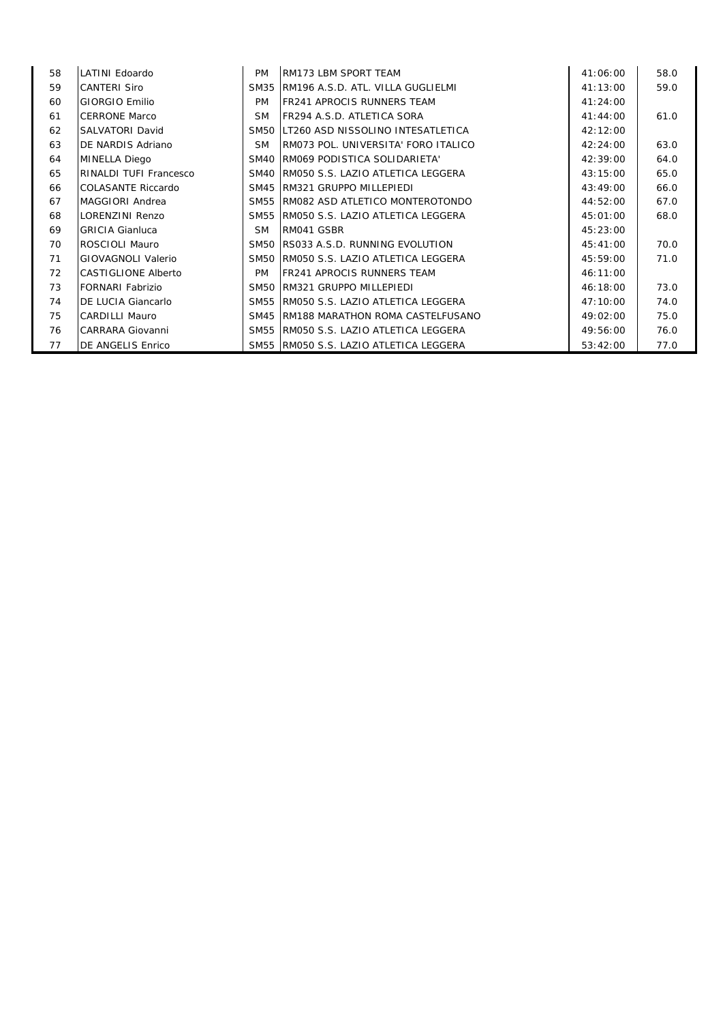| 58 | LATINI Edoardo                | <b>PM</b> | RM173 LBM SPORT TEAM                    | 41:06:00 | 58.0 |
|----|-------------------------------|-----------|-----------------------------------------|----------|------|
| 59 | <b>CANTERI Siro</b>           |           | SM35 IRM196 A.S.D. ATL. VILLA GUGLIELMI | 41:13:00 | 59.0 |
| 60 | GIORGIO Emilio                | <b>PM</b> | <b>FR241 APROCIS RUNNERS TEAM</b>       | 41:24:00 |      |
| 61 | <b>CERRONE Marco</b>          | <b>SM</b> | FR294 A.S.D. ATLETICA SORA              | 41:44:00 | 61.0 |
| 62 | <b>SALVATORI David</b>        |           | SM50 LT260 ASD NISSOLINO INTESATLETICA  | 42:12:00 |      |
| 63 | DE NARDIS Adriano             | <b>SM</b> | RM073 POL. UNIVERSITA' FORO ITALICO     | 42:24:00 | 63.0 |
| 64 | <b>MINELLA Diego</b>          |           | SM40 RM069 PODISTICA SOLIDARIETA'       | 42:39:00 | 64.0 |
| 65 | <b>RINALDI TUFI Francesco</b> |           | SM40 IRM050 S.S. LAZIO ATLETICA LEGGERA | 43:15:00 | 65.0 |
| 66 | COLASANTE Riccardo            |           | SM45 RM321 GRUPPO MILLEPIEDI            | 43:49:00 | 66.0 |
| 67 | MAGGIORI Andrea               |           | SM55 RM082 ASD ATLETICO MONTEROTONDO    | 44:52:00 | 67.0 |
| 68 | LORENZINI Renzo               |           | SM55 RM050 S.S. LAZIO ATLETICA LEGGERA  | 45:01:00 | 68.0 |
| 69 | <b>GRICIA Gianluca</b>        | SM.       | RM041 GSBR                              | 45:23:00 |      |
| 70 | ROSCIOLI Mauro                |           | SM50 IRS033 A.S.D. RUNNING EVOLUTION    | 45:41:00 | 70.0 |
| 71 | GIOVAGNOLI Valerio            |           | SM50 RM050 S.S. LAZIO ATLETICA LEGGERA  | 45:59:00 | 71.0 |
| 72 | <b>CASTIGLIONE Alberto</b>    | <b>PM</b> | <b>IFR241 APROCIS RUNNERS TEAM</b>      | 46:11:00 |      |
| 73 | FORNARI Fabrizio              |           | SM50 RM321 GRUPPO MILLEPIEDI            | 46:18:00 | 73.0 |
| 74 | <b>DE LUCIA Giancarlo</b>     |           | SM55 RM050 S.S. LAZIO ATLETICA LEGGERA  | 47:10:00 | 74.0 |
| 75 | <b>CARDILLI Mauro</b>         |           | SM45 RM188 MARATHON ROMA CASTELFUSANO   | 49:02:00 | 75.0 |
| 76 | CARRARA Giovanni              |           | SM55 RM050 S.S. LAZIO ATLETICA LEGGERA  | 49:56:00 | 76.0 |
| 77 | DE ANGELIS Enrico             |           | SM55 RM050 S.S. LAZIO ATLETICA LEGGERA  | 53:42:00 | 77.0 |